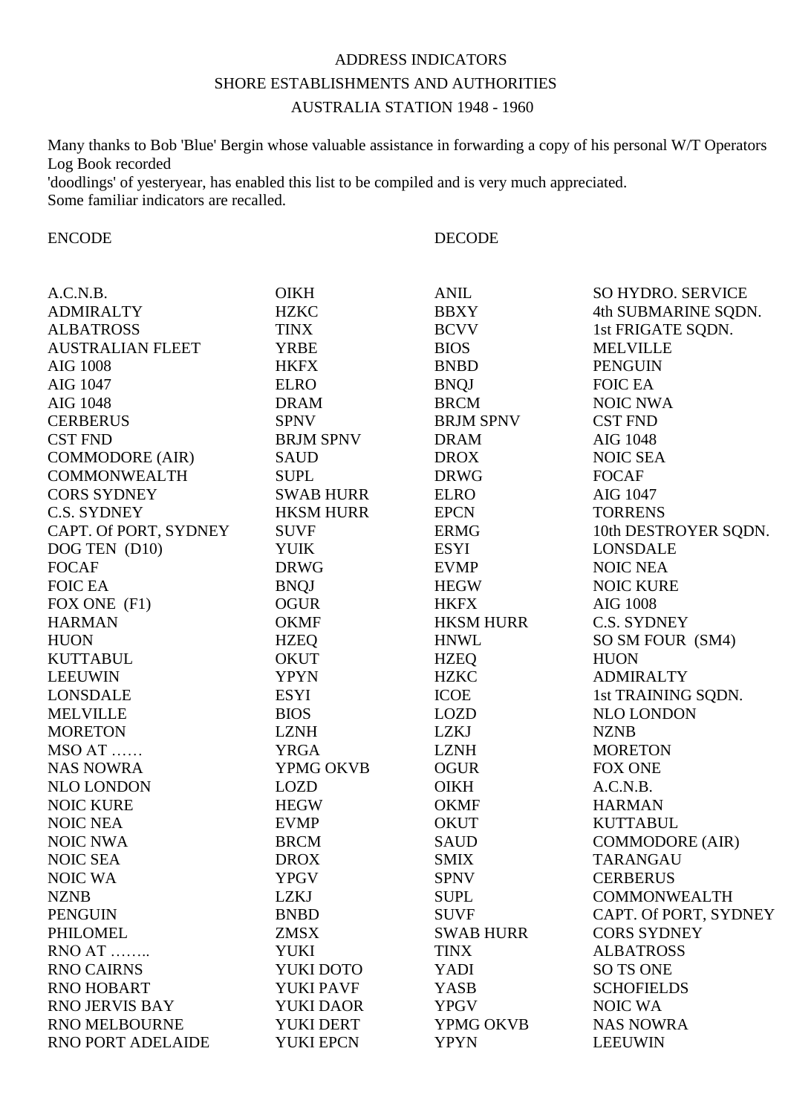## ADDRESS INDICATORS SHORE ESTABLISHMENTS AND AUTHORITIES AUSTRALIA STATION 1948 - 1960

Many thanks to Bob 'Blue' Bergin whose valuable assistance in forwarding a copy of his personal W/T Operators Log Book recorded 'doodlings' of yesteryear, has enabled this list to be compiled and is very much appreciated. Some familiar indicators are recalled.

ENCODE DECODE

| A.C.N.B.                | <b>OIKH</b>      | <b>ANIL</b>      | <b>SO HYDRO. SERVICE</b> |
|-------------------------|------------------|------------------|--------------------------|
| <b>ADMIRALTY</b>        | <b>HZKC</b>      | <b>BBXY</b>      | 4th SUBMARINE SQDN.      |
| <b>ALBATROSS</b>        | <b>TINX</b>      | <b>BCVV</b>      | 1st FRIGATE SQDN.        |
| <b>AUSTRALIAN FLEET</b> | <b>YRBE</b>      | <b>BIOS</b>      | <b>MELVILLE</b>          |
| <b>AIG 1008</b>         | <b>HKFX</b>      | <b>BNBD</b>      | <b>PENGUIN</b>           |
| AIG 1047                | <b>ELRO</b>      | <b>BNQJ</b>      | <b>FOIC EA</b>           |
| AIG 1048                | <b>DRAM</b>      | <b>BRCM</b>      | <b>NOIC NWA</b>          |
| <b>CERBERUS</b>         | <b>SPNV</b>      | <b>BRJM SPNV</b> | <b>CST FND</b>           |
| <b>CST FND</b>          | <b>BRJM SPNV</b> | <b>DRAM</b>      | AIG 1048                 |
| <b>COMMODORE (AIR)</b>  | <b>SAUD</b>      | <b>DROX</b>      | <b>NOIC SEA</b>          |
| <b>COMMONWEALTH</b>     | <b>SUPL</b>      | <b>DRWG</b>      | <b>FOCAF</b>             |
| <b>CORS SYDNEY</b>      | <b>SWAB HURR</b> | <b>ELRO</b>      | AIG 1047                 |
| C.S. SYDNEY             | <b>HKSM HURR</b> | <b>EPCN</b>      | <b>TORRENS</b>           |
| CAPT. Of PORT, SYDNEY   | <b>SUVF</b>      | <b>ERMG</b>      | 10th DESTROYER SQDN.     |
| DOG TEN (D10)           | <b>YUIK</b>      | <b>ESYI</b>      | <b>LONSDALE</b>          |
| <b>FOCAF</b>            | <b>DRWG</b>      | <b>EVMP</b>      | <b>NOIC NEA</b>          |
| <b>FOIC EA</b>          | <b>BNQJ</b>      | <b>HEGW</b>      | <b>NOIC KURE</b>         |
| FOX ONE (F1)            | <b>OGUR</b>      | <b>HKFX</b>      | <b>AIG 1008</b>          |
| <b>HARMAN</b>           | <b>OKMF</b>      | <b>HKSM HURR</b> | C.S. SYDNEY              |
| <b>HUON</b>             | <b>HZEQ</b>      | <b>HNWL</b>      | SO SM FOUR (SM4)         |
| <b>KUTTABUL</b>         | <b>OKUT</b>      | <b>HZEQ</b>      | <b>HUON</b>              |
| <b>LEEUWIN</b>          | <b>YPYN</b>      | <b>HZKC</b>      | <b>ADMIRALTY</b>         |
| <b>LONSDALE</b>         | <b>ESYI</b>      | <b>ICOE</b>      | 1st TRAINING SQDN.       |
| <b>MELVILLE</b>         | <b>BIOS</b>      | <b>LOZD</b>      | NLO LONDON               |
| <b>MORETON</b>          | <b>LZNH</b>      | LZKJ             | <b>NZNB</b>              |
| MSO AT                  | <b>YRGA</b>      | <b>LZNH</b>      | <b>MORETON</b>           |
| <b>NAS NOWRA</b>        | YPMG OKVB        | <b>OGUR</b>      | <b>FOX ONE</b>           |
| NLO LONDON              | <b>LOZD</b>      | <b>OIKH</b>      | A.C.N.B.                 |
| <b>NOIC KURE</b>        | <b>HEGW</b>      | <b>OKMF</b>      | <b>HARMAN</b>            |
| <b>NOIC NEA</b>         | <b>EVMP</b>      | <b>OKUT</b>      | <b>KUTTABUL</b>          |
| <b>NOIC NWA</b>         | <b>BRCM</b>      | <b>SAUD</b>      | <b>COMMODORE (AIR)</b>   |
| <b>NOIC SEA</b>         | <b>DROX</b>      | <b>SMIX</b>      | <b>TARANGAU</b>          |
| <b>NOIC WA</b>          | <b>YPGV</b>      | <b>SPNV</b>      | <b>CERBERUS</b>          |
| <b>NZNB</b>             | LZKJ             | <b>SUPL</b>      | <b>COMMONWEALTH</b>      |
| <b>PENGUIN</b>          | <b>BNBD</b>      | <b>SUVF</b>      | CAPT. Of PORT, SYDNEY    |
| PHILOMEL                | <b>ZMSX</b>      | <b>SWAB HURR</b> | <b>CORS SYDNEY</b>       |
| RNO AT                  | <b>YUKI</b>      | <b>TINX</b>      | <b>ALBATROSS</b>         |
| <b>RNO CAIRNS</b>       | YUKI DOTO        | YADI             | <b>SO TS ONE</b>         |
| <b>RNO HOBART</b>       | <b>YUKI PAVF</b> | <b>YASB</b>      | <b>SCHOFIELDS</b>        |
| <b>RNO JERVIS BAY</b>   | <b>YUKI DAOR</b> | <b>YPGV</b>      | <b>NOIC WA</b>           |
| RNO MELBOURNE           | YUKI DERT        | YPMG OKVB        | <b>NAS NOWRA</b>         |
| RNO PORT ADELAIDE       | <b>YUKI EPCN</b> | <b>YPYN</b>      | <b>LEEUWIN</b>           |
|                         |                  |                  |                          |